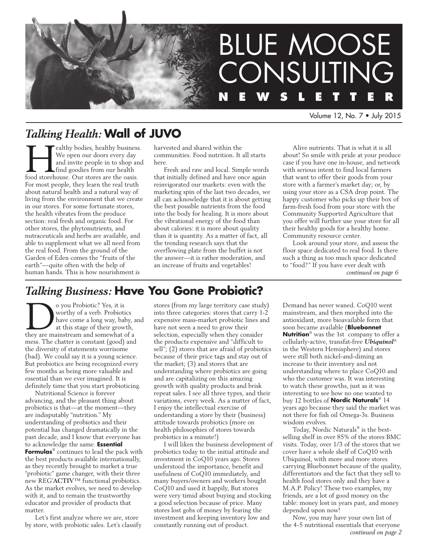

Volume 12, No. 7 • July 2015

# *Talking Health:* **Wall of JUVO**

**Fealthy bodies, healthy business.**<br>
We open our doors every day<br>
and invite people in to shop and<br>
find goodies from our health<br>
food storehouse. Our stores are the oasis. We open our doors every day and invite people in to shop and find goodies from our health For most people, they learn the real truth about natural health and a natural way of living from the environment that we create in our stores. For some fortunate stores, the health vibrates from the produce section: real fresh and organic food. For other stores, the phytonutrients, and nutraceuticals and herbs are available, and able to supplement what we all need from the real food. From the ground of the Garden of Eden comes the "fruits of the earth"—quite often with the help of human hands. This is how nourishment is

harvested and shared within the communities. Food nutrition. It all starts here.

Fresh and raw and local. Simple words that initially defined and have once again reinvigorated our markets: even with the marketing spin of the last two decades, we all can acknowledge that it is about getting the best possible nutrients from the food into the body for healing. It is more about the vibrational energy of the food than about calories: it is more about quality than it is quantity. As a matter of fact, all the trending research says that the overflowing plate from the buffet is not the answer—it is rather moderation, and an increase of fruits and vegetables!

Alive nutrients. That is what it is all about! So smile with pride at your produce case if you have one in-house, and network with serious intent to find local farmers that want to offer their goods from your store with a farmer's market day; or, by using your store as a CSA drop point. The happy customer who picks up their box of farm-fresh food from your store with the Community Supported Agriculture that you offer will further use your store for all their healthy goods for a healthy home. Community resource center.

Look around your store, and assess the floor space dedicated to real food. Is there such a thing as too much space dedicated to "food?" If you have ever dealt with *continued on page 6*

# *Talking Business:* **Have You Gone Probiotic?**

o you Probiotic? Yes, it is<br>
worthy of a verb. Probiotics<br>
have come a long way, baby, a<br>
at this stage of their growth,<br>
they are mainstream and somewhat of a worthy of a verb. Probiotics have come a long way, baby, and at this stage of their growth, mess. The chatter is constant (good) and the diversity of statements worrisome (bad). We could say it is a young science. But probiotics are being recognized every few months as being more valuable and essential than we ever imagined. It is definitely time that you start probioticing.

Nutritional Science is forever advancing, and the pleasant thing about probiotics is that—at the moment—they are indisputably "nutrition." My understanding of probiotics and their potential has changed dramatically in the past decade, and I know that everyone has to acknowledge the same. **Essential Formulas**® continues to lead the pack with the best products available internationally, as they recently brought to market a true "probiotic" game changer, with their three new REG'**ACTIV**™ functional probiotics. As the market evolves, we need to develop with it, and to remain the trustworthy educator and provider of products that matter.

Let's first analyze where we are, store by store, with probiotic sales. Let's classify stores (from my large territory case study) into three categories: stores that carry 1-2 expensive mass-market probiotic lines and have not seen a need to grow their selection, especially when they consider the products expensive and "difficult to sell"; (2) stores that are afraid of probiotics because of their price tags and stay out of the market; (3) and stores that are understanding where probiotics are going and are capitalizing on this amazing growth with quality products and brisk repeat sales. I see all three types, and their variations, every week. As a matter of fact, I enjoy the intellectual exercise of understanding a store by their (business) attitude towards probiotics (more on health philosophies of stores towards probiotics in a minute!)

I will liken the business development of probiotics today to the initial attitude and investment in CoQ10 years ago. Stores understood the importance, benefit and usefulness of CoQ10 immediately, and many buyers/owners and workers bought CoQ10 and used it happily, But stores were very timid about buying and stocking a good selection because of price. Many stores lost gobs of money by fearing the investment and keeping inventory low and constantly running out of product.

Demand has never waned. CoQ10 went mainstream, and then morphed into the antioxidant, more bioavailable form that soon became available (**Bluebonnet Nutrition**® was the 1st company to offer a cellularly-active, transfat-free *Ubiquinol*^ in the Western Hemisphere) and stores were still both nickel-and-diming an increase to their inventory and not understanding where to place CoQ10 and who the customer was. It was interesting to watch these growths, just as it was interesting to see how no one wanted to buy 12 bottles of **Nordic Naturals**® 14 years ago because they said the market was not there for fish oil Omega-3s. Business wisdom evolves.

Today, Nordic Naturals® is the bestselling shelf in over 85% of the stores BMC visits. Today, over 1/3 of the stores that we cover have a whole shelf of CoQ10 with Ubiquinol, with more and more stores carrying Bluebonnet because of the quality, differentiators and the fact that they sell to health food stores only and they have a M.A.P. Policy! These two examples, my friends, are a lot of good money on the table: money lost in years past, and money depended upon now!

Now, you may have your own list of the 4-5 nutritional essentials that everyone *continued on page 2*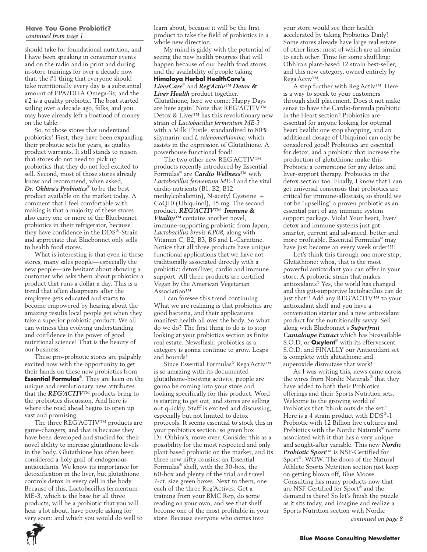#### **Have You Gone Probiotic?** *continued from page 1*

should take for foundational nutrition, and I have been speaking in consumer events and on the radio and in print and during in-store trainings for over a decade now that: the #1 thing that everyone should take nutritionally every day is a substantial amount of EPA/DHA Omega-3s; and the #2 is a quality probiotic. The boat started sailing over a decade ago, folks, and you may have already left a boatload of money on the table.

So, to those stores that understand probiotics! First, they have been expanding their probiotic sets for years, as quality product warrants. It still stands to reason that stores do not need to pick up probiotics that they do not feel excited to sell. Second, most of those stores already know and recommend, when asked, *Dr. Ohhira's Probiotics*® to be the best product available on the market today. A comment that I feel comfortable with making is that a majority of these stores also carry one or more of the Bluebonnet probiotics in their refrigerator, because they have confidence in the DDS®-Strain and appreciate that Bluebonnet only sells to health food stores.

What is interesting is that even in these stores, many sales people—especially the new people—are hesitant about showing a customer who asks them about probiotics a product that runs a dollar a day. This is a trend that often disappears after the employee gets educated and starts to become empowered by hearing about the amazing results local people get when they take a superior probiotic product. We all can witness this evolving understanding and confidence in the power of good nutritional science! That is the beauty of our business.

These pro-probiotic stores are palpably excited now with the opportunity to get their hands on these new probiotics from **Essential Formulas**®. They are keen on the unique and revolutionary new attributes that the *REG'ACTIV*™ products bring to the probiotics discussion. And here is where the road ahead begins to open up vast and promising.

The three REG'ACTIV™ products are game-changers, and that is because they have been developed and studied for their novel ability to increase glutathione levels in the body. Glutathione has often been considered a holy grail of endogenous antioxidants. We know its importance for detoxification in the liver, but glutathione controls detox in every cell in the body. Because of this, Lactobacillus fermentum ME-3, which is the base for all three products, will be a probiotic that you will hear a lot about, have people asking for very soon: and which you would do well to learn about, because it will be the first product to take the field of probiotics in a whole new direction.

My mind is giddy with the potential of seeing the new health progress that will happen because of our health food stores and the availability of people taking **Himalaya Herbal HealthCare's**  *LiverCare*® and *Reg'Activ™ Detox &*  Liver Health product together. Glutathione, here we come: Happy Days are here again! Note that REG'ACTIV™ Detox & Liver™ has this revolutionary new strain of *Lactobacillus fermentum ME-3* with a Milk Thistle, standardized to 80% silymarin: and *L-selenomethionine,* which assists in the expression of Glutathione. A powerhouse functional food!

The two other new REG'ACTIV™ products recently introduced by Essential Formulas® are *Cardio Wellness*™ with *Lactobacillus fermentum ME-3* and the vital cardio nutrients (B1, B2, B12 methylcobalamin), N-acetyl Cysteine + CoQ10 (Ubiquinol), 15 mg. The second product, *REG'ACTIV™ Immune & Vitality™* contains another novel, immune-supporting probiotic from Japan, *Lactobacillus brevis KP08,* along with Vitamin C, B2, B3, B6 and L-Carnitine. Notice that all three products have unique functional applications that we have not traditionally associated directly with a probiotic: detox/liver, cardio and immune support. All three products are certified Vegan by the American Vegetarian Association™

I can foresee this trend continuing. What we are realizing is that probiotics are good bacteria, and their applications manifest health all over the body. So what do we do? The first thing to do is to stop looking at your probiotics section as finite real estate. Newsflash: probiotics as a category is gonna continue to grow. Leaps and bounds!

Since Essential Formulas® Rega'Activ™ is so amazing with its documented glutathione-boosting activity, people are gonna be coming into your store and looking specifically for this product. Word is starting to get out, and stores are selling out quickly. Staff is excited and discussing, especially but not limited to detox protocols. It seems essential to stock this in your probiotics section: so green box Dr. Ohhira's, move over. Consider this as a possibility for the most respected and only plant based probiotic on the market, and its three new nifty cousins: an Essential Formulas® shelf, with the 30-box, the 60-box and plenty of the trial and travel 7-ct. size green boxes. Next to them, one each of the three Reg'Actives. Get a training from your BMC Rep, do some reading on your own, and see that shelf become one of the most profitable in your store. Because everyone who comes into

your store would see their health accelerated by taking Probiotics Daily! Some stores already have large real estate of other lines: most of which are all similar to each other. Time for some shuffling: Ohhira's plant-based 12 strain best-seller, and this new category, owned entirely by Rega'Activ™.

A step further with Reg'Activ™. Here is a way to speak to your customers through shelf placement. Does it not make sense to have the Cardio-formula probiotic in the Heart section? Probiotics are essential for anyone looking for optimal heart health: one stop shopping, and an additional dosage of Ubiquinol can only be considered good! Probiotics are essential for detox, and a probiotic that increase the production of glutathione make this Probiotic a cornerstone for any detox and liver-support therapy. Probiotics in the detox section too. Finally, I know that I can get universal consensus that probiotics are critical for immune-allostasis, so should we not be "upselling" a proven probiotic as an essential part of any immune system support package. Viola! Your heart, liver/ detox and immune systems just got smarter, current and advanced, better and more profitable. Essential Formulas® may have just become an every week order!!!!

Let's think this through one more step; Glutathione: whoa, that is the most powerful antioxidant you can offer in your store. A probiotic strain that makes antioxidants? Yes, the world has changed and this gut-supportive lactobacillus can do just that!! Add any REG'ACTIV™ to your antioxidant shelf and you have a conversation starter and a new antioxidant product for the nutritionally savvy. Sell along with Bluebonnet's *Superfruit Cantaloupe Extract* which has bioavailable S.O.D, or **Oxylent**® with its effervescent S.O.D. and FINALLY our Antioxidant set is complete with glutathione and superoxide dismutase that work!

As I was writing this, news came across the wires from Nordic Naturals® that they have added to both their Probiotics offerings and their Sports Nutrition sets. Welcome to the growing world of Probiotics that "think outside the set." Here is a 4 strain product with DDS®-1 Probiotic with 12 Billion live cultures and Prebiotics with the Nordic Naturals® name associated with it that has a very unique and sought-after variable. This new *Nordic Probiotic Sport*™ is NSF-Certified for Sport®. WOW. The doors of the Natural Athlete Sports Nutrition section just keep on getting blown off, Blue Moose Consulting has many products now that are NSF Certified for Sport® and the demand is there! So let's finish the puzzle as it sits today, and imagine and realize a Sports Nutrition section with Nordic *continued on page 8*

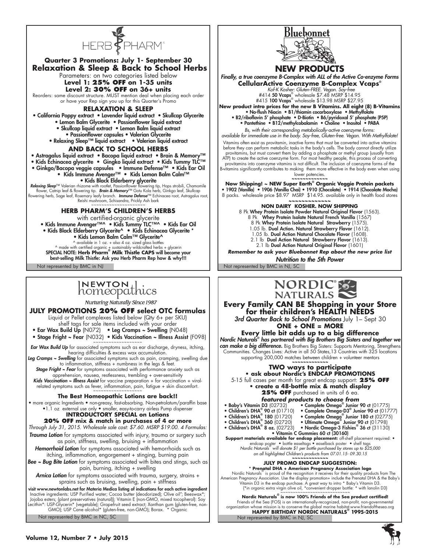

#### Not represented by BMC in NJ Not represented by BMC in NJ, SC  **Relaxation & Sleep & Back to School Herbs** Parameters: on two categories listed below **Level 1: 25% OFF on 1-35 units Level 2: 30% OFF on 36+ units** Reorders: same discount structure. MUST mention deal when placing each order or have your Rep sign you up for this Quarter's Promo **Relaxation & Sleep** • California Poppy extract • Lavender liquid extract • Skullcap Glycerite • Lemon Balm Glycerite • Passionflower liquid extract • Skullcap liquid extract • Lemon Balm liquid extract • Passionflower capsules • Valerian Glycerite • Relaxing Sleep™ liquid extract • Valerian liquid extract **AND Back to School Herbs** • Astragalus liquid extract • Bacopa liquid extract • Brain & Memory™ • Kids Echinacea glycerite • Gingko liquid extract • Kids Tummy TLC™ • Ginkgo/Bacopa veggie capsules • Immune Defense™ • Kids Ear Oil • Kids Immune Avenger™ • Kids Lemon Balm Calm™ • Kids Black Elderberry glycerite **Relaxing Sleep**™ Valerian rhizome with rootlet, Passionflower flowering tip, Hops strobili, Chamomile و flower,<br>flower, Catnip leaf & flowering tip. **Brain & Memory™ G**otu Kola herb, Ginkgo leaf, Skullcap<br>flowering herb, Reishi mushroom, Schisandra, Prickly Ash bark ~~~~~~~~~~~~~~~~~~~ **HERB PHARM'S CHILDREN'S HERBS**  with certified-organic glycerite • Kids Immune Avenger™^ • Kids Tummy TLC™^ • Kids Ear Oil • Kids Black Elderberry Glycerite^ **•** Kids Echinacea Glycerite \* • Kids Lemon Balm Calm™ Glycerite^ ^ available in 1 oz. + also 4 oz. sized glass bottles ^ made with certified organic + sustainably wildcrafted herbs + glycerin SPECIAL NOTE: **Herb Pharm® Milk Thistle CAPS** will become your best-selling Milk Thistle: Ask you Herb Pharm Rep how & why!!!

# INEWTON thics

Nurturing Naturally Since 1987

## **JULY PROMOTIONS 20% OFF select OTC formulas**

Liquid or Pellet complexes listed below (Qty 6+ per SKU) shelf tags for sale items included with your order

- Ear Wax Build Up (N072) Leg Cramps ~ Swelling (N048)
- Stage Fright ~ Fear (N032) Kids Vaccination ~ Illness Assist (F098)

*Ear Wax Build Up* for associated symptoms such as ear discharge, dryness, itching, hearing difficulties & excess wax accumulation.

*Leg Cramps ~ Swelling* for associated symptoms such as pain, cramping, swelling due to inflammation, stiffness + numbness in the legs & feet.

*Stage Fright ~ Fear* for symptoms associated with performance anxiety such as apprehension, nausea, restlessness, trembling + over-sensitivity

*Kids Vaccination ~ Illness Assist* for vaccine preparation + for vaccination + viralrelated symptoms such as fever, inflammation, pain, fatigue + skin discomfort.

### **The Best Homeopathic Lotions are back!!**

• more organic Ingredients • non-greasy, fast-absorbing. Non-petrolatum/paraffin base •1.1 oz external use only • smaller, easy-to-carry airless Pump dispenser **INTRODUCTORY SPECIAL on Lotions**

## **20% OFF mix & match in purchases of 4 or more**

*Through July 31, 2015. Wholesale sale cost: \$7.60. MSRP \$19.00. 4 Formulas:*

*Trauma Lotion* for symptoms associated with injury, trauma or surgery such as pain, stiffness, swelling, bruising + inflammation

*Hemorrhoid Lotion* for symptoms associated with hemorrhoids such as itching, inflammation, engorgement + stinging, burning pain

*Bee ~ Bug Bite Lotion* for symptoms associated with bites and stings, such as pain, burning, itching + swelling

*Arnica Lotion* for symptoms associated with trauma, surgery, strains + sprains such as bruising, swelling, pain + stiffness

visit www.newtonlabs.net for Materia Medica listing of indications for each active ingredient Inactive ingredients: USP Purified water; Cocoa butter (deodorized); Olive oil"; Besswax\*;<br>Jojoba esters; {plant preservatives (natural); Vitamin E (non-GMO, mixed tocopherol): Soy<br>Lecithin\*: USP-Glycerin\* (vegetable); Gra

Not represented by BMC in NC, SC



# **NEW PRODUCTS**

*Finally, a true coenzyme B-Complex with ALL of the Active Co-enzyme Forms* **CellularActive Coenzyme B-Complex Vcaps®**

 *Kof-K Kosher: Gluten-FREE. Vegan. Soy-free*

#414 50 Vcaps® wholesale \$7.48 MSRP \$14.95 #415 100 Vcaps® wholesale \$13.98 MSRP \$27.95

**New product intro prices for the new B Vitamins. All eight (8) B-Vitamins** • No-flush Niacin • B1/thiamin cocarboxylase • Methylfolate • B2/riboflavin 5' phosphate • D-Biotin • B6/pyridoxal 5' phosphate (P5P)

• Pantethine • B12/methylcobalamin • Choline • Inositol • PABA *Bs, with their corresponding metabolically-active coenzyme forms:* 

*available for immediate use in the body. Soy-free, Gluten-free. Vegan. With Methylfolate!* Vitamins often exist as provitamin, inactive forms that must be converted into active vitamins before they can perform metabolic tasks in the body's cells. The body cannot directly utilize provitamins, but must convert them by adding a phosphate or methyl group (usually from ATP) to create the active coenzyme form. For most healthy people, this process of converting provitamins into coenzyme vitamins is not difficult. The inclusion of coenzyme forms of the B-vitamins significantly contributes to making them more effective in the body even when using lower potencies.

**~~~~~~~~~~~~~ Now Shipping! ~ NEW Super Earth® Organic Veggie Protein packets** • 1902 (Vanilla) • 1906 (Vanilla Chai) • 1910 (Chocolate) • 1914 (Chocolate Mocha) 8 packs. wholesale price \$8.97 MSRP \$14.95. available only in health food stores **~~~~~~~~~~~~~**

**NON DAIRY KOSHER. NOW SHIPPING**

8 Pk Whey Protein Isolate Powder Natural Original Flavor (1563). 8 Pk Whey Protein Isolate Natural French Vanilla (1567) 8 Pk Whey Protein Isolate Natural Strawberry (1575). 1.05 lb. Dual Action. Natural Strawberry Flavor (1612). 1.05 lb. Dual Action Natural Chocolate Flavor (1608). 2.1 lb Dual Action Natural Strawberry Flavor (1613). 2.1 lb Dual Action Natural Original Flavor (1601) *Remember to ask your Bluebonnet Rep about the new price list Nutrition to the 5th Power*



**Every Family CAN BE Shopping in your Store for their children's HEALTH NEEDS** 

*3rd Quarter Back to School Promotions* July 1– Sept 30 **ONE + ONE = MORE**

**Every little bit adds up to a big difference** *Nordic Naturals® has partnered with Big Brothers Big Sisters and together we can make a big difference.* Big Brothers Big Sisters: Supports Mentoring, Strengthens Communities. Changes Lives: Active in all 50 States,13 Countries with 325 locations supporting 200,000 matches between children + volunteer mentors **~~~~~~~~~~~~~**

#### **TWO ways to participate • ask about Nordic's ENDCAP PROMOTIONS**

5-15 full cases per month for great endcap support: **25% OFF • create a 48-bottle mix & match display**

- 25% OFF purchased in units of 6 ea.
- *featured products to choose from*<br>• Baby's Vitamin D3 (02732) Complete Omega<sup>®</sup> Junior
	-
	-
- 
- Baby's Vitamin D3 (02732)<br>
 Complete Omega® Junior 90 ct (01775)<br>
 Children's DHA® 90 ct (01710)<br>
 Complete Omega® Junior 90 ct (017<br>
 Children's DHA® 360 (02720)<br>
 Ultimate Omega® Junior 90 ct (017978)<br>
 Children • Complete Omega<sup>®</sup> Junior 180 ct (02775)<br>• Ultimate Omega® Junior 90 ct (01798)
	-

 Junior 90 ct (01775) Junior 90 ct (01777)

• Vitamin C Gummies 60 ct (30160) **Support materials available for endcap placement:** off-shelf placement required: •<br>• endcap poster • bottle easelhags • easelback poster • shelf tags<br>Nordic Naturals • will donate \$1 per bottle purchased by stores up to \$

*on all highlighted Children's products from 07.01.15- 09.30.15* **~~~~~~~~~~~~~**

## **JULY PROMO ENDCAP SUGGESTION:**

**Prengtal DHA + American Pregnancy Association logo**<br>Nordic Naturals is proud of the recognition it receives for their quality products from The<br>American Pregnancy Association. Use the display promotion+ include the Prenat

Not represented by BMC in NJ, SC **Nordic Naturals® is now 100% Friends of the Sea product certified!** Friends of the Sea (FOS) is an internationally-recognized, non-profit, non-governmental organization whose mission is to conserve the global marine habitat.www.friendofthesea.org **HAPPY BIRTHDAY NORDIC NATURALS® 1995-2015**

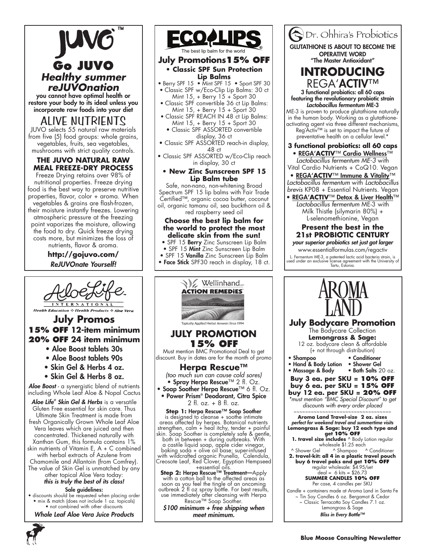# **Go JUVO** *Healthy summer reJUVOnation* you cannot have optimal health or

restore your body to its ideal unless you incorporate raw foods into your diet

# ALIVE NUTRIENTS

JUVO selects 55 natural raw materials from five (5) food groups: whole grains, vegetables, fruits, sea vegetables, mushrooms with strict quality controls.

## **THE JUVO NATURAL RAW MEAL FREEZE-DRY PROCESS**

Freeze Drying retains over 98% of nutritional properties. Freeze drying food is the best way to preserve nutritive properties, flavor, color + aroma. When vegetables & grains are flash-frozen, their moisture instantly freezes. Lowering atmospheric pressure at the freezing point vaporizes the moisture, allowing the food to dry. Quick freeze drying costs more, but minimizes the loss of nutrients, flavor & aroma.

> **http://gojuvo.com/** *ReJUVOnate Yourself!*



# **Health Education & Health Products & Aloe Vera**

# **July Promos 15% OFF 12-item minimum 20% OFF 24 item minimum**

- Aloe Boost tablets 30s
- Aloe Boost tablets 90s
- Skin Gel & Herbs 4 oz.
- Skin Gel & Herbs 8 oz.

*Aloe Boost* - a synergistic blend of nutrients including Whole Leaf Aloe & Nopal Cactus

*Aloe Life® Skin Gel & Herbs* is a versatile Gluten Free essential for skin care. Thus Ultimate Skin Treatment is made from fresh Organically Grown Whole Leaf Aloe Vera leaves which are juiced and then concentrated. Thickened naturally with Xanthan Gum, this formula contains 1% skin nutrients of Vitamin E, A + C combined with herbal extracts of Azulene from Chamomile and Allantoin (from Comfrey). The value of Skin Gel is unmatched by any other topical Aloe Vera today: *this is truly the best of its class!*

Sale guidelines: • discounts should be requested when placing order • mix & match (does not include 1 oz. topicals) • not combined with other discounts

*Whole Leaf Aloe Vera Juice Products*



### e best lip balm for the world

### **July Promotions15% OFF • Classic SPF Sun Protection Lip Balms**

- Berry SPF 15 Mint SPF 15 Sport SPF 30 • Classic SPF w/Eco-Clip Lip Balms: 30 ct
- Mint 15, + Berry 15 + Sport 30
- Classic SPF convertible 36 ct Lip Balms: Mint 15, + Berry 15 + Sport 30
- Classic SPF REACH IN 48 ct Lip Balms: Mint 15, + Berry 15 + Sport 30 • Classic SPF ASSORTED convertible
	- display, 36 ct
- Classic SPF ASSORTED reach-in display, 48 ct
- Classic SPF ASSORTED w/Eco-Clip reach in display, 30 ct

#### **• New Zinc Sunscreen SPF 15 Lip Balm tube**

Safe, non-nano, non-whitening Broad Spectrum SPF 15 lip balms with Fair Trade Certified™, organic cocoa butter, coconut oil, organic tamanu oil, sea buckthorn oil & red raspberry seed oil

## **Choose the best lip balm for the world to protect the most delicate skin from the sun!**

- SPF 15 Berry Zinc Sunscreen Lip Balm
- SPF 15 Mint Zinc Sunscreen Lip Balm
- SPF 15 Vanilla Zinc Sunscreen Lip Balm • Face Stick SPF30 reach in display, 18 ct.



*\$100 minimum + free shipping when meet minimum.* 



candle + containers made at Aroma Land in Santa Fe ~ Tin Soy Candles 6 oz. Bergamot & Cedar ~ Classic Terracotta Soy Candles 7.1 oz. Lemongrass & Sage *Bliss in Every Bottle™*

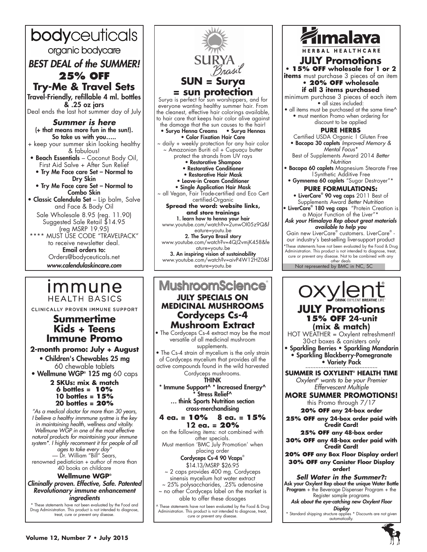bodyceuticals organic bodycare *BEST DEAL of the SUMMER!* **25% OFF Try-Me & Travel Sets** Travel-Friendly, refillable 4 ml. bottles & .25 oz jars Deal ends the last hot summer day of July *Summer is here* (+ that means more fun in the sun!). So take us with you….. + keep your summer skin looking healthy & fabulous! • Beach Essentials – Coconut Body Oil, First Aid Salve + After Sun Relief • Try Me Face care Set – Normal to Dry Skin • Try Me Face care Set – Normal to Combo Skin • Classic Calendula Set – Lip balm, Salve and Face & Body Oil Sale Wholesale 8.95 (reg. 11.90) Suggested Sale Retail \$14.95 (reg MSRP 19.95) \*\*\*\* MUST USE CODE "TRAVELPACK" to receive newsletter deal. Email orders to: Orders@bodyceuticals.net *www.calendulaskincare.com*

# <u>Immune</u> **HEALTH BASICS**

CLINICALLY PROVEN IMMUNE SUPPORT

# **Summertime Kids + Teens Immune Promo**

## **2-month promo: July + August**

• Children's Chewables 25 mg 60 chewable tablets • Wellmune WGP® 125 mg 60 caps **2 SKUs: mix & match 6 bottles = 10% 10 bottles = 15% 20 bottles = 20%**

*"As a medical doctor for more than 30 years, I believe a healthy immmune systme is the key in maintaining health, wellness and vitality. Wellmune WGP in one of the most effective natural products for maintaining your immune system\*. I highly recomment it for people of all ages to take every day"* — Dr. William "Bill" Sears, renowned pediatician + author of more than 40 books on childcare

## **Wellmune WGP®**

*Clininally proven. Effective, Safe. Patented Revolutionary immune enhancement ingredients*

\* These statements have not been evaluated by the Food and Drug Administration. This product is not intended to diagnose, treat, cure or prevent any disease.



### **MushroomScience July SPECIALS on MEDICINAL MUSHROOMS Cordyceps Cs-4 Mushroom Extract** • The Cordyceps Cs-4 extract may be the most versatile of all medicinal mushroom supplements. • The Cs-4 strain of mycelium is the only strain of Cordyceps mycelium that provides all the active compounds found in the wild harvested Cordyceps mushrooms. THINK \* Immune Support^ \* Increased Energy^ Stress Relief^ … think Sports Nutrition section cross-merchandising **4 ea. = 10% 8 ea. = 15% 12 ea. = 20%**  on the following items: not combined with other specials.

Must mention 'BMC July Promotion' when placing order Cordyceps Cs-4 90 Vcaps®

\$14.13/MSRP \$26.95

~ 2 caps provides 400 mg. Cordyceps sinensis mycelium hot water extract

~ 25% polysaccharides, .25% adenosine ~ no other Cordyceps label on the market is able to offer these dosages

^ These statements have not been evaluated by the Food & Drug Administration. This product is not intended to diagnose, treat, cure or prevent any disease.



**SUMMER IS OXYLENT® HEALTH TIME** *Oxylent® wants to be your Premier Effervescent Multiple*

**MORE SUMMER PROMOTIONS!** this Promo through 7/17

**20% OFF any 24-box order 25% OFF any 24-box order paid with Credit Card!**

**25% OFF any 48-box order 30% OFF any 48-box order paid with Credit Card!**

**20% OFF any Box Floor Display order! 30% OFF any Canister Floor Display** 

**order!** *Sell Water in the Summer?:* Ask your Oxylent Rep about the unique Water Bottle Program + the Beverage Dispenser Program + the Register sample programs

*Ask about the eye-catching new Oxylent Floor* 

*Display* \* Standard shipping structure applies \* Discounts are not given automatically.

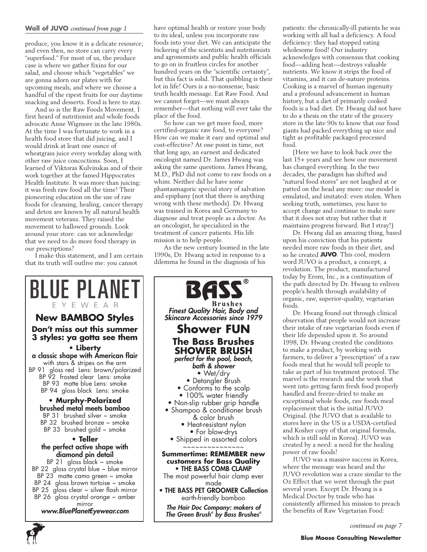#### **Wall of JUVO** *continued from page 1*

produce, you know it is a delicate resource; and even then, no store can carry every "superfood." For most of us, the produce case is where we gather fixins for our salad, and choose which "vegetables" we are gonna adorn our plates with for upcoming meals, and where we choose a handful of the ripest fruits for our daytime snacking and desserts. Food is here to stay.

And so is the Raw Foods Movement. I first heard of nutritionist and whole foods advocate Anne Wigmore in the late 1980s. At the time I was fortunate to work in a health food store that did juicing, and I would drink at least one ounce of wheatgrass juice every workday along with other raw juice concoctions. Soon, I learned of Viktoras Kulvinskas and of their work together at the famed Hippocrates Health Institute. It was more than juicing: it was fresh raw food all the time! Their pioneering education on the use of raw foods for cleansing, healing, cancer therapy and detox are known by all natural health movement veterans. They raised the movement to hallowed grounds. Look around your store: can we acknowledge that we need to do more food therapy in our prescriptions?

I make this statement, and I am certain that its truth will outlive me: you cannot

have optimal health or restore your body to its ideal, unless you incorporate raw foods into your diet. We can anticipate the bickering of the scientists and nutritionists and agronomists and public health officials to go on in fruitless circles for another hundred years on the "scientific certainty", but this fact is solid. That quibbling is their lot in life! Ours is a no-nonsense, basic truth health message. Eat Raw Food. And we cannot forget—we must always remember—that nothing will ever take the place of the food.

So how can we get more food, more certified-organic raw food, to everyone? How can we make it easy and optimal and cost-effective? At one point in time, not that long ago, an earnest and dedicated oncologist named Dr. James Hwang was asking the same questions. James Hwang, M.D., PhD did not come to raw foods on a whim. Neither did he have some phantasmagoric special story of salvation and epiphany (not that there is anything wrong with these methods). Dr. Hwang was trained in Korea and Germany to diagnose and treat people as a doctor. As an oncologist, he specialized in the treatment of cancer patients. His life mission is to help people.

As the new century loomed in the late 1990s, Dr. Hwang acted in response to a dilemma he found in the diagnosis of his



patients: the chronically-ill patients he was working with all had a deficiency. A food deficiency: they had stopped eating wholesome food! Our industry acknowledges with consensus that cooking food—adding heat—destroys valuable nutrients. We know it strips the food of vitamins, and it can de-nature proteins. Cooking is a marvel of human ingenuity and a profound advancement in human history, but a diet of primarily cooked foods is a bad diet. Dr. Hwang did not have to do a thesis on the state of the grocery store in the late 90s to know that our food giants had packed everything up nice and tight as profitable packaged processed food.

(Here we have to look back over the last 15+ years and see how our movement has changed everything. In the two decades, the paradigm has shifted and "natural food stores" are not laughed at or patted on the head any more: our model is emulated, and imitated: even stolen. When seeking truth, sometimes, you have to accept change and continue to make sure that it does not stray but rather that it maintains progress forward. But I stray!)

Dr. Hwang did an amazing thing, based upon his conviction that his patients needed more raw foods in their diet, and so he created **JUVO**. This cool, modern word JUVO is a product, a concept, a revolution. The product, manufactured today by Erom, Inc., is a continuation of the path directed by Dr. Hwang to enliven people's health through availability of organic, raw, superior-quality, vegetarian foods.

Dr. Hwang found out through clinical observation that people would not increase their intake of raw vegetarian foods even if their life depended upon it. So around 1998, Dr. Hwang created the conditions to make a product, by working with farmers, to deliver a "prescription" of a raw foods meal that he would tell people to take as part of his treatment protocol. The marvel is the research and the work that went into getting farm fresh food properly handled and freeze-dried to make an exceptional whole foods, raw foods meal replacement that is the initial JUVO Original. (the JUVO that is available to stores here in the US is a USDA-certified and Kosher copy of that original formula, which is still sold in Korea). JUVO was created by a need: a need for the healing power of raw foods!

JUVO was a massive success in Korea, where the message was heard and the JUVO revolution was a craze similar to the Oz Effect that we went through the past several years. Except Dr. Hwang is a Medical Doctor by trade who has consistently affirmed his mission to preach the benefits of Raw Vegetarian Food:

*continued on page 7*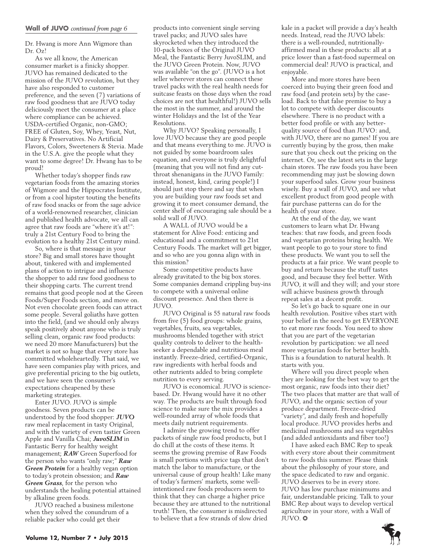Dr. Hwang is more Ann Wigmore than Dr. Oz!

As we all know, the American consumer market is a finicky shopper. JUVO has remained dedicated to the mission of the JUVO revolution, but they have also responded to customer preference, and the seven (7) variations of raw food goodness that are JUVO today deliciously meet the consumer at a place where compliance can be achieved. USDA-certified Organic, non-GMO; FREE of Gluten, Soy, Whey, Yeast, Nut, Dairy & Preservatives. No Artificial Flavors, Colors, Sweeteners & Stevia. Made in the U.S.A. give the people what they want to some degree! Dr. Hwang has to be proud!

Whether today's shopper finds raw vegetarian foods from the amazing stories of Wigmore and the Hippocrates Institute, or from a cool hipster touting the benefits of raw food snacks or from the sage advice of a world-renowned researcher, clinician and published health advocate, we all can agree that raw foods are "where it's at!": truly a 21st Century Food to bring the evolution to a healthy 21st Century mind.

So, where is that message in your store? Big and small stores have thought about, tinkered with and implemented plans of action to intrigue and influence the shopper to add raw food goodness to their shopping carts. The current trend remains that good people nod at the Green Foods/Super Foods section, and move on. Not even chocolate green foods can attract some people. Several goliaths have gotten into the field, (and we should only always speak positively about anyone who is truly selling clean, organic raw food products: we need 20 more Manufacturers) but the market is not so huge that every store has committed wholeheartedly. That said, we have seen companies play with prices, and give preferential pricing to the big outlets, and we have seen the consumer's expectations cheapened by these marketing strategies.

Enter JUVO. JUVO is simple goodness. Seven products can be understood by the food shopper: *JUVO* raw meal replacement in tasty Original, and with the variety of even tastier Green Apple and Vanilla Chai; *JuvoSLIM* in Fantastic Berry for healthy weight management; *RAW* Green Superfood for the person who wants "only raw;" *Raw Green Protein* for a healthy vegan option to today's protein obsession; and *Raw Green Grass*, for the person who understands the healing potential attained by alkaline green foods.

JUVO reached a business milestone when they solved the conundrum of a reliable packer who could get their

products into convenient single serving travel packs; and JUVO sales have skyrocketed when they introduced the 10-pack boxes of the Original JUVO Meal, the Fantastic Berry JuvoSLIM, and the JUVO Green Protein. Now, JUVO was available "on the go". (JUVO is a hot seller wherever stores can connect these travel packs with the real health needs for suitcase feasts on those days when the road choices are not that healthful!) JUVO sells the most in the summer, and around the winter Holidays and the 1st of the Year Resolutions.

Why JUVO? Speaking personally, I love JUVO because they are good people and that means everything to me. JUVO is not guided by some boardroom sales equation, and everyone is truly delightful (meaning that you will not find any cutthroat shenanigans in the JUVO Family: instead, honest, kind, caring people!) I should just stop there and say that when you are building your raw foods set and growing it to meet consumer demand, the center shelf of encouraging sale should be a solid wall of JUVO.

A WALL of JUVO would be a statement for Alive Food: enticing and educational and a commitment to 21st Century Foods. The market will get bigger, and so who are you gonna align with in this mission?

Some competitive products have already gravitated to the big box stores. Some companies demand crippling buy-ins to compete with a universal online discount presence. And then there is JUVO.

JUVO Original is 55 natural raw foods from five (5) food groups: whole grains, vegetables, fruits, sea vegetables, mushrooms blended together with strict quality controls to deliver to the healthseeker a dependable and nutritious meal instantly. Freeze-dried, certified-Organic, raw ingredients with herbal foods and other nutrients added to bring complete nutrition to every serving.

JUVO is economical. JUVO is sciencebased. Dr. Hwang would have it no other way. The products are built through food science to make sure the mix provides a well-rounded array of whole foods that meets daily nutrient requirements.

I admire the growing trend to offer packets of single raw food products, but I do chill at the costs of these items. It seems the growing premise of Raw Foods is small portions with price tags that don't match the labor to manufacture, or the universal cause of group health! Like many of today's farmers' markets, some wellintentioned raw foods producers seem to think that they can charge a higher price because they are attuned to the nutritional truth! Then, the consumer is misdirected to believe that a few strands of slow dried

kale in a packet will provide a day's health needs. Instead, read the JUVO labels: there is a well-rounded, nutritionallyaffirmed meal in these products: all at a price lower than a fast-food supermeal on commercial deal! JUVO is practical, and enjoyable.

More and more stores have been coerced into buying their green food and raw food (and protein sets) by the caseload. Back to that false premise to buy a lot to compete with deeper discounts elsewhere. There is no product with a better food profile or with any betterquality source of food than JUVO: and, with JUVO, there are no games! If you are currently buying by the gross, then make sure that you check out the pricing on the internet. Or, see the latest sets in the large chain stores. The raw foods you have been recommending may just be slowing down your superfood sales. Grow your business wisely. Buy a wall of JUVO, and see what excellent product from good people with fair purchase patterns can do for the health of your store.

At the end of the day, we want customers to learn what Dr. Hwang teaches: that raw foods, and green foods and vegetarian proteins bring health. We want people to go to your store to find these products. We want you to sell the products at a fair price. We want people to buy and return because the stuff tastes good, and because they feel better. With JUVO, it will and they will; and your store will achieve business growth through repeat sales at a decent profit.

So let's go back to square one in our health revolution. Positive vibes start with your belief in the need to get EVERYONE to eat more raw foods. You need to show that you are part of the vegetarian revolution by participation: we all need more vegetarian foods for better health. This is a foundation to natural health. It starts with you.

Where will you direct people when they are looking for the best way to get the most organic, raw foods into their diet? The two places that matter are that wall of JUVO, and the organic section of your produce department. Freeze-dried "variety", and daily fresh and hopefully local produce. JUVO provides herbs and medicinal mushrooms and sea vegetables (and added antioxidants and fiber too!)

I have asked each BMC Rep to speak with every store about their commitment to raw foods this summer. Please think about the philosophy of your store, and the space dedicated to raw and organic. JUVO deserves to be in every store. JUVO has low purchase minimums and fair, understandable pricing. Talk to your BMC Rep about ways to develop vertical agriculture in your store, with a Wall of JUVO. ❂